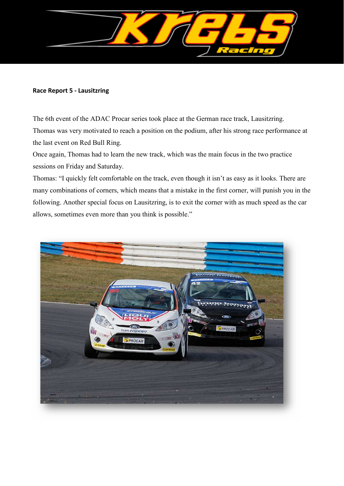

#### **Race Report 5 - Lausitzring**

The 6th event of the ADAC Procar series took place at the German race track, Lausitzring. Thomas was very motivated to reach a position on the podium, after his strong race performance at the last event on Red Bull Ring.

Once again, Thomas had to learn the new track, which was the main focus in the two practice sessions on Friday and Saturday.

Thomas: "I quickly felt comfortable on the track, even though it isn't as easy as it looks. There are many combinations of corners, which means that a mistake in the first corner, will punish you in the following. Another special focus on Lausitzring, is to exit the corner with as much speed as the car allows, sometimes even more than you think is possible."

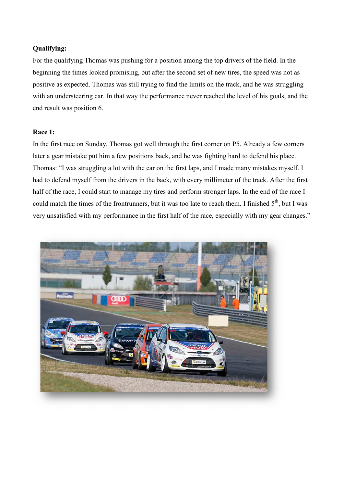# **Qualifying:**

For the qualifying Thomas was pushing for a position among the top drivers of the field. In the beginning the times looked promising, but after the second set of new tires, the speed was not as positive as expected. Thomas was still trying to find the limits on the track, and he was struggling with an understeering car. In that way the performance never reached the level of his goals, and the end result was position 6.

## **Race 1:**

In the first race on Sunday, Thomas got well through the first corner on P5. Already a few corners later a gear mistake put him a few positions back, and he was fighting hard to defend his place. Thomas: "I was struggling a lot with the car on the first laps, and I made many mistakes myself. I had to defend myself from the drivers in the back, with every millimeter of the track. After the first half of the race, I could start to manage my tires and perform stronger laps. In the end of the race I could match the times of the frontrunners, but it was too late to reach them. I finished  $5<sup>th</sup>$ , but I was very unsatisfied with my performance in the first half of the race, especially with my gear changes."

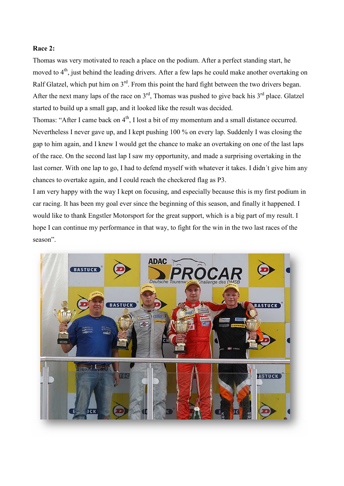#### **Race 2:**

Thomas was very motivated to reach a place on the podium. After a perfect standing start, he moved to 4<sup>th</sup>, just behind the leading drivers. After a few laps he could make another overtaking on Ralf Glatzel, which put him on 3<sup>rd</sup>. From this point the hard fight between the two drivers began. After the next many laps of the race on  $3<sup>rd</sup>$ , Thomas was pushed to give back his  $3<sup>rd</sup>$  place. Glatzel started to build up a small gap, and it looked like the result was decided.

Thomas: "After I came back on 4<sup>th</sup>, I lost a bit of my momentum and a small distance occurred. Nevertheless I never gave up, and I kept pushing 100 % on every lap. Suddenly I was closing the gap to him again, and I knew I would get the chance to make an overtaking on one of the last laps of the race. On the second last lap I saw my opportunity, and made a surprising overtaking in the last corner. With one lap to go, I had to defend myself with whatever it takes. I didn´t give him any chances to overtake again, and I could reach the checkered flag as P3.

I am very happy with the way I kept on focusing, and especially because this is my first podium in car racing. It has been my goal ever since the beginning of this season, and finally it happened. I would like to thank Engstler Motorsport for the great support, which is a big part of my result. I hope I can continue my performance in that way, to fight for the win in the two last races of the season".